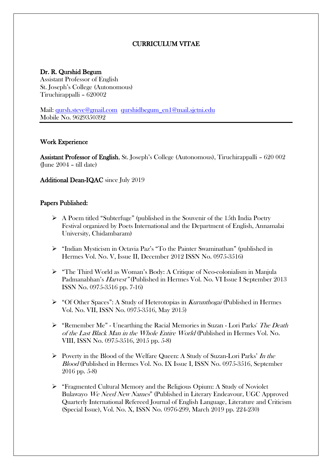# CURRICULUM VITAE

### Dr. R. Qurshid Begum

Assistant Professor of English St. Joseph's College (Autonomous) Tiruchirappalli – 620002

Mail: [qursh.steve@gmail.com](mailto:qursh.steve@gmail.com) [qurshidbegum\\_en1@mail.sjctni.edu](mailto:qurshidbegum_en1@mail.sjctni.edu) Mobile No. 9629350392

#### Work Experience

Assistant Professor of English, St. Joseph's College (Autonomous), Tiruchirappalli – 620 002 (June  $2004 - \text{ till date}$ )

Additional Dean-IQAC since July 2019

### Papers Published:

- $\triangleright$  A Poem titled "Subterfuge" (published in the Souvenir of the 15th India Poetry Festival organized by Poets International and the Department of English, Annamalai University, Chidambaram)
- "Indian Mysticism in Octavia Paz's "To the Painter Swaminathan" (published in Hermes Vol. No. V, Issue II, December 2012 ISSN No. 0975-3516)
- "The Third World as Woman's Body: A Critique of Neo-colonialism in Manjula Padmanabhan's Harvest" (Published in Hermes Vol. No. VI Issue I September 2013 ISSN No. 0975-3516 pp. 7-16)
- $\triangleright$  "Of Other Spaces": A Study of Heterotopias in *Kurunthogai* (Published in Hermes Vol. No. VII, ISSN No. 0975-3516, May 2015)
- $\triangleright$  "Remember Me" Unearthing the Racial Memories in Suzan Lori Parks' The Death of the Last Black Man in the Whole Entire World (Published in Hermes Vol. No. VIII, ISSN No. 0975-3516, 2015 pp. 5-8)
- Poverty in the Blood of the Welfare Queen: A Study of Suzan-Lori Parks' In the Blood (Published in Hermes Vol. No. IX Issue I, ISSN No. 0975-3516, September 2016 pp. 5-8)
- "Fragmented Cultural Memory and the Religious Opium: A Study of Noviolet Bulawayo We Need New Names" (Published in Literary Endeavour, UGC Approved Quarterly International Refereed Journal of English Language, Literature and Criticism (Special Issue), Vol. No. X, ISSN No. 0976-299, March 2019 pp. 224-230)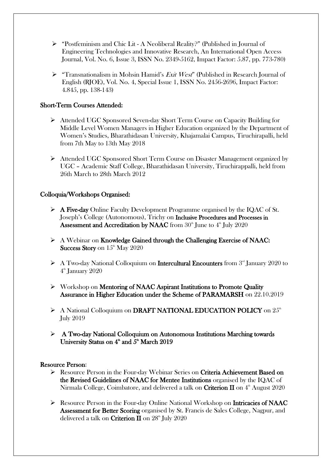- $\triangleright$  "Postfeminism and Chic Lit A Neoliberal Reality?" (Published in Journal of Engineering Technologies and Innovative Research, An International Open Access Journal, Vol. No. 6, Issue 3, ISSN No. 2349-5162, Impact Factor: 5.87, pp. 773-780)
- $\triangleright$  "Transnationalism in Mohsin Hamid's *Exit West*" (Published in Research Journal of English (RJOE), Vol. No. 4, Special Issue 1, ISSN No. 2456-2696, Impact Factor: 4.845, pp. 138-143)

# Short-Term Courses Attended:

- Attended UGC Sponsored Seven-day Short Term Course on Capacity Building for Middle Level Women Managers in Higher Education organized by the Department of Women's Studies, Bharathidasan University, Khajamalai Campus, Tiruchirapalli, held from 7th May to 13th May 2018
- Attended UGC Sponsored Short Term Course on Disaster Management organized by UGC – Academic Staff College, Bharathidasan University, Tiruchirappalli, held from 26th March to 28th March 2012

# Colloquia/Workshops Organised:

- A Five-day Online Faculty Development Programme organised by the IQAC of St. Joseph's College (Autonomous), Trichy on Inclusive Procedures and Processes in Assessment and Accreditation by NAAC from  $30<sup>th</sup>$  June to  $4<sup>th</sup>$  July 2020
- $\triangleright$  A Webinar on Knowledge Gained through the Challenging Exercise of NAAC: **Success Story** on  $15<sup>th</sup>$  May 2020
- $\triangleright$  A Two-day National Colloquium on **Intercultural Encounters** from  $3<sup>nd</sup>$  January 2020 to 4 th January 2020
- $\triangleright$  Workshop on Mentoring of NAAC Aspirant Institutions to Promote Quality Assurance in Higher Education under the Scheme of PARAMARSH on 22.10.2019
- $\triangleright$  A National Colloquium on DRAFT NATIONAL EDUCATION POLICY on  $25<sup>th</sup>$ July 2019
- $\triangleright$  A Two-day National Colloquium on Autonomous Institutions Marching towards University Status on  $4^{\text{th}}$  and  $5^{\text{th}}$  March 2019

# Resource Person:

- $\triangleright$  Resource Person in the Four-day Webinar Series on Criteria Achievement Based on the Revised Guidelines of NAAC for Mentee Institutions organised by the IQAC of Nirmala College, Coimbatore, and delivered a talk on **Criterion II** on  $4^{\text{th}}$  August 2020
- Resource Person in the Four-day Online National Workshop on Intricacies of NAAC Assessment for Better Scoring organised by St. Francis de Sales College, Nagpur, and delivered a talk on **Criterion II** on  $28<sup>th</sup>$  July 2020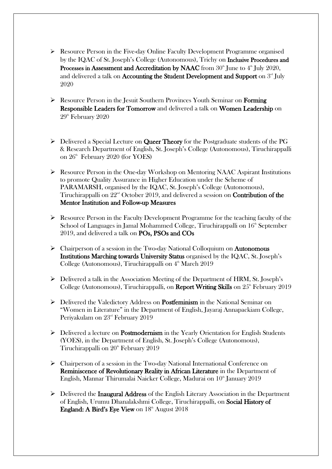- Resource Person in the Five-day Online Faculty Development Programme organised by the IQAC of St. Joseph's College (Autonomous), Trichy on Inclusive Procedures and Processes in Assessment and Accreditation by NAAC from  $30<sup>th</sup>$  June to  $4<sup>th</sup>$  July 2020, and delivered a talk on **Accounting the Student Development and Support** on  $3<sup>rd</sup>$  July 2020
- Resource Person in the Jesuit Southern Provinces Youth Seminar on Forming Responsible Leaders for Tomorrow and delivered a talk on Women Leadership on  $29<sup>th</sup>$  February  $2020$
- $\triangleright$  Delivered a Special Lecture on Queer Theory for the Postgraduate students of the PG & Research Department of English, St. Joseph's College (Autonomous), Tiruchirappalli on  $26<sup>th</sup>$  February 2020 (for YOES)
- $\triangleright$  Resource Person in the One-day Workshop on Mentoring NAAC Aspirant Institutions to promote Quality Assurance in Higher Education under the Scheme of PARAMARSH, organised by the IQAC, St. Joseph's College (Autonomous), Tiruchirappalli on  $22<sup>nd</sup>$  October 2019, and delivered a session on **Contribution of the** Mentor Institution and Follow-up Measures
- $\triangleright$  Resource Person in the Faculty Development Programme for the teaching faculty of the School of Languages in Jamal Mohammed College, Tiruchirappalli on  $16<sup>th</sup>$  September 2019, and delivered a talk on POs, PSOs and COs
- $\triangleright$  Chairperson of a session in the Two-day National Colloquium on **Autonomous** Institutions Marching towards University Status organised by the IQAC, St. Joseph's College (Autonomous), Tiruchirappalli on  $4<sup>th</sup>$  March 2019
- $\triangleright$  Delivered a talk in the Association Meeting of the Department of HRM, St. Joseph's College (Autonomous), Tiruchirappalli, on **Report Writing Skills** on  $25<sup>th</sup>$  February 2019
- Delivered the Valedictory Address on Postfeminism in the National Seminar on "Women in Literature" in the Department of English, Jayaraj Annapackiam College, Periyakulam on  $23<sup>rd</sup>$  February 2019
- $\triangleright$  Delivered a lecture on **Postmodernism** in the Yearly Orientation for English Students (YOES), in the Department of English, St. Joseph's College (Autonomous), Tiruchirappalli on  $20<sup>th</sup>$  February 2019
- Chairperson of a session in the Two-day National International Conference on Reminiscence of Revolutionary Reality in African Literature in the Department of English, Mannar Thirumalai Naicker College, Madurai on 10<sup>th</sup> January 2019
- $\triangleright$  Delivered the **Inaugural Address** of the English Literary Association in the Department of English, Urumu Dhanalakshmi College, Tiruchirappalli, on Social History of **England: A Bird's Eye View** on  $18<sup>th</sup>$  August 2018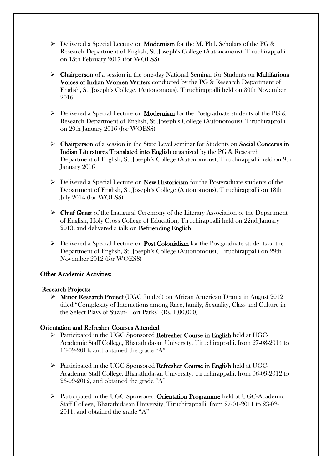- $\triangleright$  Delivered a Special Lecture on **Modernism** for the M. Phil. Scholars of the PG & Research Department of English, St. Joseph's College (Autonomous), Tiruchirappalli on 15th February 2017 (for WOESS)
- $\triangleright$  **Chairperson** of a session in the one-day National Seminar for Students on **Multifarious** Voices of Indian Women Writers conducted by the PG & Research Department of English, St. Joseph's College, (Autonomous), Tiruchirappalli held on 30th November 2016
- $\triangleright$  Delivered a Special Lecture on **Modernism** for the Postgraduate students of the PG & Research Department of English, St. Joseph's College (Autonomous), Tiruchirappalli on 20th January 2016 (for WOESS)
- $\triangleright$  Chairperson of a session in the State Level seminar for Students on Social Concerns in Indian Literatures Translated into English organized by the PG & Research Department of English, St. Joseph's College (Autonomous), Tiruchirappalli held on 9th January 2016
- $\triangleright$  Delivered a Special Lecture on **New Historicism** for the Postgraduate students of the Department of English, St. Joseph's College (Autonomous), Tiruchirappalli on 18th July 2014 (for WOESS)
- $\triangleright$  Chief Guest of the Inaugural Ceremony of the Literary Association of the Department of English, Holy Cross College of Education, Tiruchirappalli held on 22nd January 2013, and delivered a talk on Befriending English
- $\triangleright$  Delivered a Special Lecture on **Post Colonialism** for the Postgraduate students of the Department of English, St. Joseph's College (Autonomous), Tiruchirappalli on 29th November 2012 (for WOESS)

# Other Academic Activities:

#### Research Projects:

 $\triangleright$  Minor Research Project (UGC funded) on African American Drama in August 2012 titled "Complexity of Interactions among Race, family, Sexuality, Class and Culture in the Select Plays of Suzan- Lori Parks" (Rs. 1,00,000)

#### Orientation and Refresher Courses Attended

- Participated in the UGC Sponsored Refresher Course in English held at UGC-Academic Staff College, Bharathidasan University, Tiruchirappalli, from 27-08-2014 to 16-09-2014, and obtained the grade "A"
- $\triangleright$  Participated in the UGC Sponsored **Refresher Course in English** held at UGC-Academic Staff College, Bharathidasan University, Tiruchirappalli, from 06-09-2012 to 26-09-2012, and obtained the grade "A"
- $\triangleright$  Participated in the UGC Sponsored Orientation Programme held at UGC-Academic Staff College, Bharathidasan University, Tiruchirappalli, from 27-01-2011 to 23-02- 2011, and obtained the grade "A"